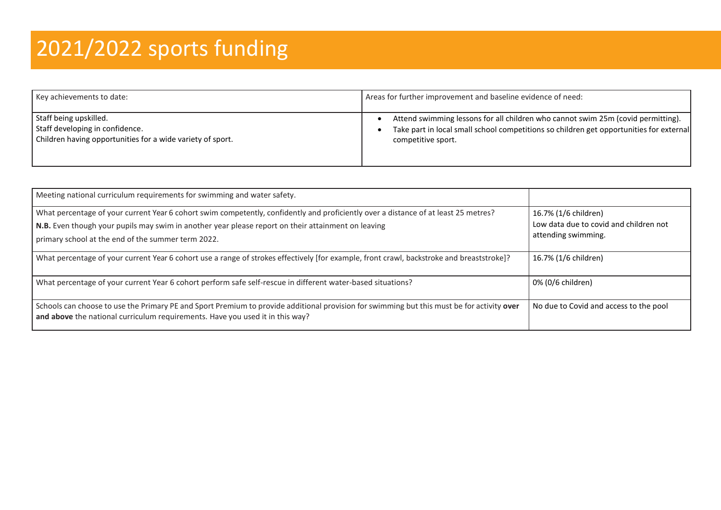## 2021/2022 sports funding

| Key achievements to date:                                  | Areas for further improvement and baseline evidence of need:                            |
|------------------------------------------------------------|-----------------------------------------------------------------------------------------|
| Staff being upskilled.                                     | Attend swimming lessons for all children who cannot swim 25m (covid permitting).        |
| Staff developing in confidence.                            | Take part in local small school competitions so children get opportunities for external |
| Children having opportunities for a wide variety of sport. | competitive sport.                                                                      |

| Meeting national curriculum requirements for swimming and water safety.                                                                                                                                                                                                                         |                                                                                       |
|-------------------------------------------------------------------------------------------------------------------------------------------------------------------------------------------------------------------------------------------------------------------------------------------------|---------------------------------------------------------------------------------------|
| What percentage of your current Year 6 cohort swim competently, confidently and proficiently over a distance of at least 25 metres?<br>N.B. Even though your pupils may swim in another year please report on their attainment on leaving<br>primary school at the end of the summer term 2022. | 16.7% (1/6 children)<br>Low data due to covid and children not<br>attending swimming. |
| What percentage of your current Year 6 cohort use a range of strokes effectively [for example, front crawl, backstroke and breaststroke]?                                                                                                                                                       | 16.7% (1/6 children)                                                                  |
| What percentage of your current Year 6 cohort perform safe self-rescue in different water-based situations?                                                                                                                                                                                     | 0% (0/6 children)                                                                     |
| Schools can choose to use the Primary PE and Sport Premium to provide additional provision for swimming but this must be for activity over<br>and above the national curriculum requirements. Have you used it in this way?                                                                     | No due to Covid and access to the pool                                                |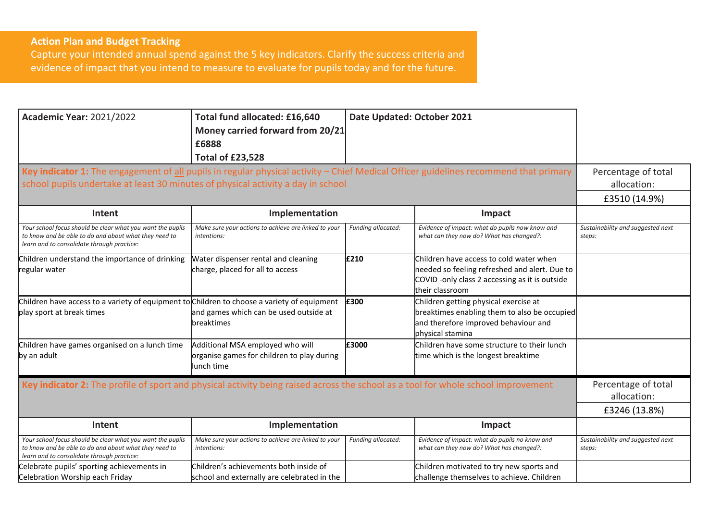## **Action Plan and Budget Tracking**

Capture your intended annual spend against the 5 key indicators. Clarify the success criteria and evidence of impact that you intend to measure to evaluate for pupils today and for the future.

| <b>Academic Year: 2021/2022</b><br>Key indicator 1: The engagement of all pupils in regular physical activity - Chief Medical Officer guidelines recommend that primary<br>school pupils undertake at least 30 minutes of physical activity a day in school | Total fund allocated: £16,640<br>Money carried forward from 20/21<br>£6888<br><b>Total of £23,528</b> | Date Updated: October 2021 |                                                                                                                                                              | Percentage of total<br>allocation:<br>£3510 (14.9%) |
|-------------------------------------------------------------------------------------------------------------------------------------------------------------------------------------------------------------------------------------------------------------|-------------------------------------------------------------------------------------------------------|----------------------------|--------------------------------------------------------------------------------------------------------------------------------------------------------------|-----------------------------------------------------|
| Intent                                                                                                                                                                                                                                                      | Implementation                                                                                        |                            | Impact                                                                                                                                                       |                                                     |
| Your school focus should be clear what you want the pupils<br>to know and be able to do and about what they need to<br>learn and to consolidate through practice:                                                                                           | Make sure your actions to achieve are linked to your<br><i>intentions:</i>                            | Funding allocated:         | Evidence of impact: what do pupils now know and<br>what can they now do? What has changed?:                                                                  | Sustainability and suggested next<br>steps:         |
| Children understand the importance of drinking<br>regular water                                                                                                                                                                                             | Water dispenser rental and cleaning<br>charge, placed for all to access                               | £210                       | Children have access to cold water when<br>needed so feeling refreshed and alert. Due to<br>COVID-only class 2 accessing as it is outside<br>their classroom |                                                     |
| Children have access to a variety of equipment to Children to choose a variety of equipment<br>play sport at break times                                                                                                                                    | and games which can be used outside at<br>breaktimes                                                  | £300                       | Children getting physical exercise at<br>breaktimes enabling them to also be occupied<br>and therefore improved behaviour and<br>physical stamina            |                                                     |
| Children have games organised on a lunch time<br>by an adult                                                                                                                                                                                                | Additional MSA employed who will<br>organise games for children to play during<br>lunch time          | £3000                      | Children have some structure to their lunch<br>time which is the longest breaktime                                                                           |                                                     |
| Key indicator 2: The profile of sport and physical activity being raised across the school as a tool for whole school improvement                                                                                                                           | Percentage of total<br>allocation:                                                                    |                            |                                                                                                                                                              |                                                     |
|                                                                                                                                                                                                                                                             |                                                                                                       |                            |                                                                                                                                                              | £3246 (13.8%)                                       |
| Intent                                                                                                                                                                                                                                                      | Implementation                                                                                        |                            | Impact                                                                                                                                                       |                                                     |
| Your school focus should be clear what you want the pupils<br>to know and be able to do and about what they need to<br>learn and to consolidate through practice:                                                                                           | Make sure your actions to achieve are linked to your<br>intentions:                                   | Funding allocated:         | Evidence of impact: what do pupils no know and<br>what can they now do? What has changed?:                                                                   | Sustainability and suggested next<br>steps:         |
| Celebrate pupils' sporting achievements in<br>Celebration Worship each Friday                                                                                                                                                                               | Children's achievements both inside of<br>school and externally are celebrated in the                 |                            | Children motivated to try new sports and<br>challenge themselves to achieve. Children                                                                        |                                                     |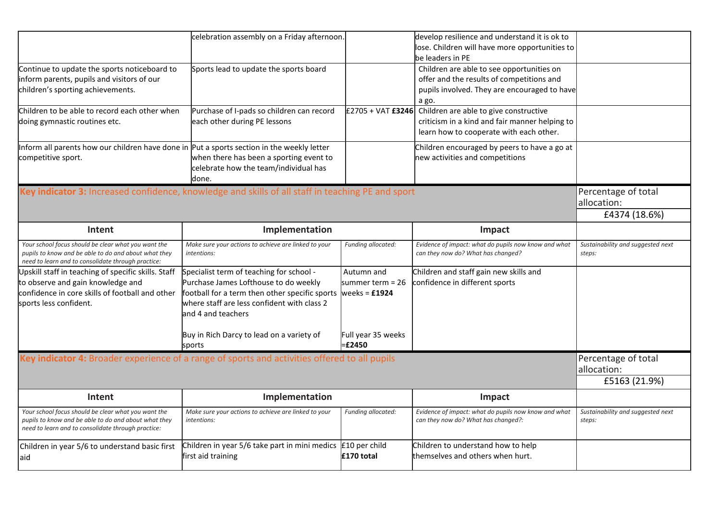|                                                                                                                                                                       | celebration assembly on a Friday afternoon.                                                                                                                                                                              |                                | develop resilience and understand it is ok to<br>lose. Children will have more opportunities to                                                 |                                                     |
|-----------------------------------------------------------------------------------------------------------------------------------------------------------------------|--------------------------------------------------------------------------------------------------------------------------------------------------------------------------------------------------------------------------|--------------------------------|-------------------------------------------------------------------------------------------------------------------------------------------------|-----------------------------------------------------|
|                                                                                                                                                                       |                                                                                                                                                                                                                          |                                | be leaders in PE                                                                                                                                |                                                     |
| Continue to update the sports noticeboard to<br>inform parents, pupils and visitors of our<br>children's sporting achievements.                                       | Sports lead to update the sports board                                                                                                                                                                                   |                                | Children are able to see opportunities on<br>offer and the results of competitions and<br>pupils involved. They are encouraged to have<br>a go. |                                                     |
| Children to be able to record each other when<br>doing gymnastic routines etc.                                                                                        | Purchase of I-pads so children can record<br>each other during PE lessons                                                                                                                                                | £2705 + VAT £3246              | Children are able to give constructive<br>criticism in a kind and fair manner helping to<br>learn how to cooperate with each other.             |                                                     |
| Inform all parents how our children have done in Put a sports section in the weekly letter<br>competitive sport.                                                      | when there has been a sporting event to<br>celebrate how the team/individual has<br>done.                                                                                                                                |                                | Children encouraged by peers to have a go at<br>new activities and competitions                                                                 |                                                     |
| Key indicator 3: Increased confidence, knowledge and skills of all staff in teaching PE and sport                                                                     |                                                                                                                                                                                                                          |                                |                                                                                                                                                 | Percentage of total<br>allocation:<br>£4374 (18.6%) |
| Intent                                                                                                                                                                | Implementation                                                                                                                                                                                                           |                                | Impact                                                                                                                                          |                                                     |
| Your school focus should be clear what you want the<br>pupils to know and be able to do and about what they<br>need to learn and to consolidate through practice:     | Make sure your actions to achieve are linked to your<br>intentions:                                                                                                                                                      | Funding allocated:             | Evidence of impact: what do pupils now know and what<br>can they now do? What has changed?                                                      | Sustainability and suggested next<br>steps:         |
| Upskill staff in teaching of specific skills. Staff<br>to observe and gain knowledge and<br>confidence in core skills of football and other<br>sports less confident. | Specialist term of teaching for school -<br>Purchase James Lofthouse to do weekly<br>football for a term then other specific sports weeks = $£1924$<br>where staff are less confident with class 2<br>and 4 and teachers | Autumn and<br>summer term = 26 | Children and staff gain new skills and<br>confidence in different sports                                                                        |                                                     |
|                                                                                                                                                                       | Buy in Rich Darcy to lead on a variety of<br>sports                                                                                                                                                                      | Full year 35 weeks<br>$=£2450$ |                                                                                                                                                 |                                                     |
| Key indicator 4: Broader experience of a range of sports and activities offered to all pupils                                                                         | Percentage of total<br>allocation:<br>£5163 (21.9%)                                                                                                                                                                      |                                |                                                                                                                                                 |                                                     |
| Intent                                                                                                                                                                | Implementation                                                                                                                                                                                                           |                                | Impact                                                                                                                                          |                                                     |
| Your school focus should be clear what you want the<br>pupils to know and be able to do and about what they<br>need to learn and to consolidate through practice:     | Make sure your actions to achieve are linked to your<br>intentions:                                                                                                                                                      | Funding allocated:             | Evidence of impact: what do pupils now know and what<br>can they now do? What has changed?:                                                     | Sustainability and suggested next<br>steps:         |
| Children in year 5/6 to understand basic first<br>aid                                                                                                                 | Children in year 5/6 take part in mini medics $\vert$ £10 per child<br>first aid training                                                                                                                                | £170 total                     | Children to understand how to help<br>themselves and others when hurt.                                                                          |                                                     |